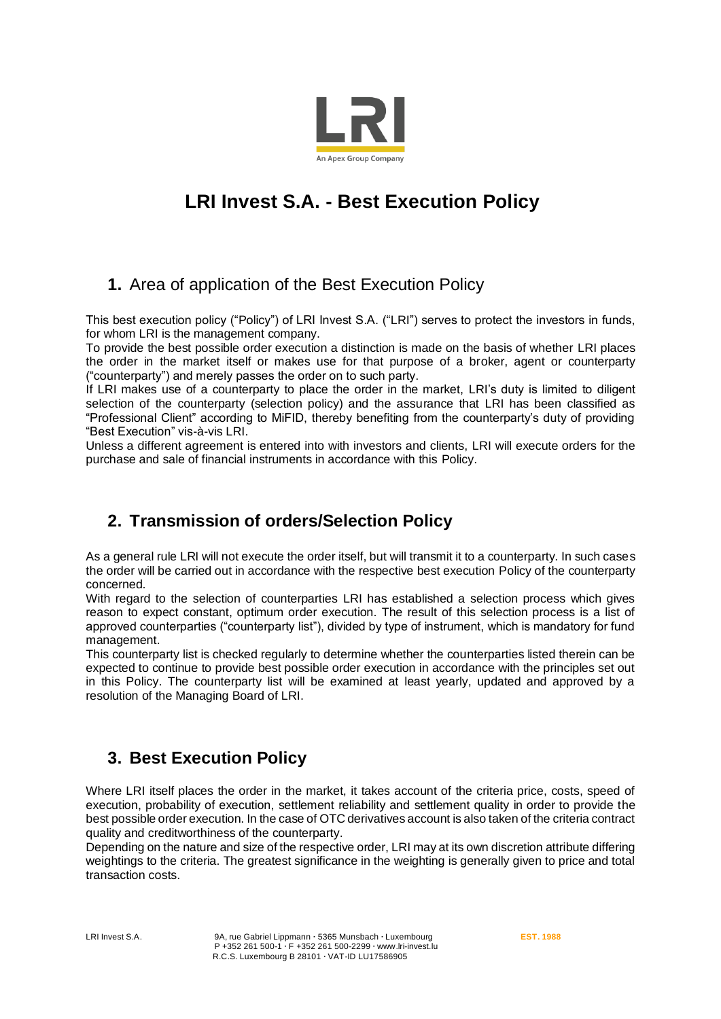

# **LRI Invest S.A. - Best Execution Policy**

# **1.** Area of application of the Best Execution Policy

This best execution policy ("Policy") of LRI Invest S.A. ("LRI") serves to protect the investors in funds, for whom LRI is the management company.

To provide the best possible order execution a distinction is made on the basis of whether LRI places the order in the market itself or makes use for that purpose of a broker, agent or counterparty ("counterparty") and merely passes the order on to such party.

If LRI makes use of a counterparty to place the order in the market, LRI's duty is limited to diligent selection of the counterparty (selection policy) and the assurance that LRI has been classified as "Professional Client" according to MiFID, thereby benefiting from the counterparty's duty of providing "Best Execution" vis-à-vis LRI.

Unless a different agreement is entered into with investors and clients, LRI will execute orders for the purchase and sale of financial instruments in accordance with this Policy.

# **2. Transmission of orders/Selection Policy**

As a general rule LRI will not execute the order itself, but will transmit it to a counterparty. In such cases the order will be carried out in accordance with the respective best execution Policy of the counterparty concerned.

With regard to the selection of counterparties LRI has established a selection process which gives reason to expect constant, optimum order execution. The result of this selection process is a list of approved counterparties ("counterparty list"), divided by type of instrument, which is mandatory for fund management.

This counterparty list is checked regularly to determine whether the counterparties listed therein can be expected to continue to provide best possible order execution in accordance with the principles set out in this Policy. The counterparty list will be examined at least yearly, updated and approved by a resolution of the Managing Board of LRI.

# **3. Best Execution Policy**

Where LRI itself places the order in the market, it takes account of the criteria price, costs, speed of execution, probability of execution, settlement reliability and settlement quality in order to provide the best possible order execution. In the case of OTC derivatives account is also taken of the criteria contract quality and creditworthiness of the counterparty.

Depending on the nature and size of the respective order, LRI may at its own discretion attribute differing weightings to the criteria. The greatest significance in the weighting is generally given to price and total transaction costs.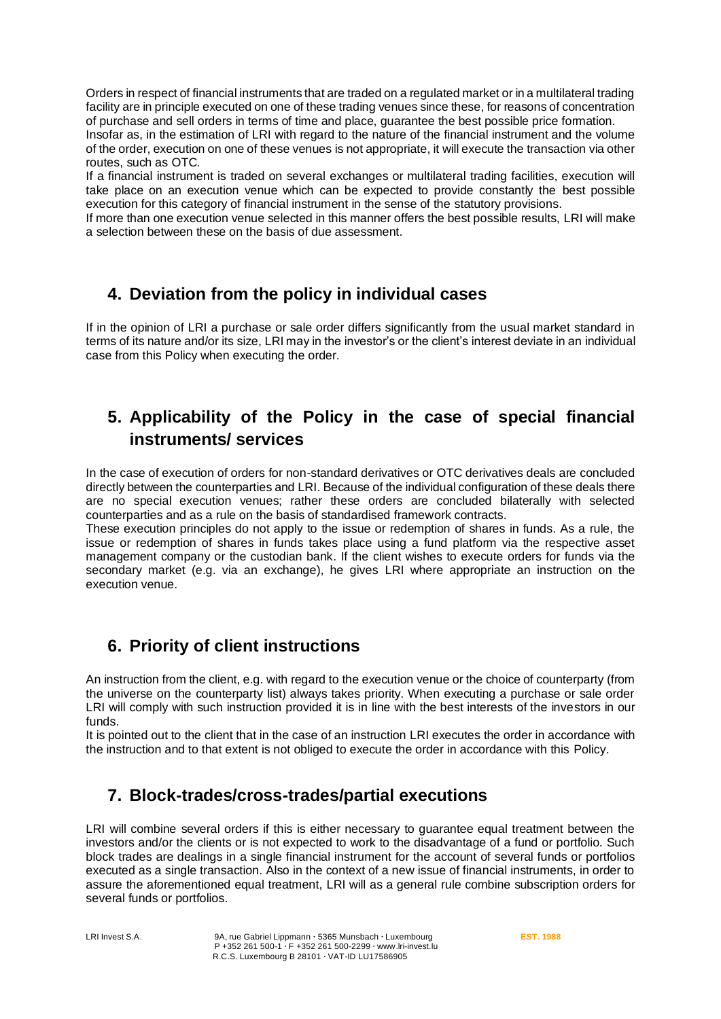Orders in respect of financial instruments that are traded on a regulated market or in a multilateral trading facility are in principle executed on one of these trading venues since these, for reasons of concentration of purchase and sell orders in terms of time and place, guarantee the best possible price formation.

Insofar as, in the estimation of LRI with regard to the nature of the financial instrument and the volume of the order, execution on one of these venues is not appropriate, it will execute the transaction via other routes, such as OTC.

If a financial instrument is traded on several exchanges or multilateral trading facilities, execution will take place on an execution venue which can be expected to provide constantly the best possible execution for this category of financial instrument in the sense of the statutory provisions.

If more than one execution venue selected in this manner offers the best possible results, LRI will make a selection between these on the basis of due assessment.

# **4. Deviation from the policy in individual cases**

If in the opinion of LRI a purchase or sale order differs significantly from the usual market standard in terms of its nature and/or its size, LRI may in the investor's or the client's interest deviate in an individual case from this Policy when executing the order.

# **5. Applicability of the Policy in the case of special financial instruments/ services**

In the case of execution of orders for non-standard derivatives or OTC derivatives deals are concluded directly between the counterparties and LRI. Because of the individual configuration of these deals there are no special execution venues; rather these orders are concluded bilaterally with selected counterparties and as a rule on the basis of standardised framework contracts.

These execution principles do not apply to the issue or redemption of shares in funds. As a rule, the issue or redemption of shares in funds takes place using a fund platform via the respective asset management company or the custodian bank. If the client wishes to execute orders for funds via the secondary market (e.g. via an exchange), he gives LRI where appropriate an instruction on the execution venue.

# **6. Priority of client instructions**

An instruction from the client, e.g. with regard to the execution venue or the choice of counterparty (from the universe on the counterparty list) always takes priority. When executing a purchase or sale order LRI will comply with such instruction provided it is in line with the best interests of the investors in our funds.

It is pointed out to the client that in the case of an instruction LRI executes the order in accordance with the instruction and to that extent is not obliged to execute the order in accordance with this Policy.

# **7. Block-trades/cross-trades/partial executions**

LRI will combine several orders if this is either necessary to quarantee equal treatment between the investors and/or the clients or is not expected to work to the disadvantage of a fund or portfolio. Such block trades are dealings in a single financial instrument for the account of several funds or portfolios executed as a single transaction. Also in the context of a new issue of financial instruments, in order to assure the aforementioned equal treatment, LRI will as a general rule combine subscription orders for several funds or portfolios.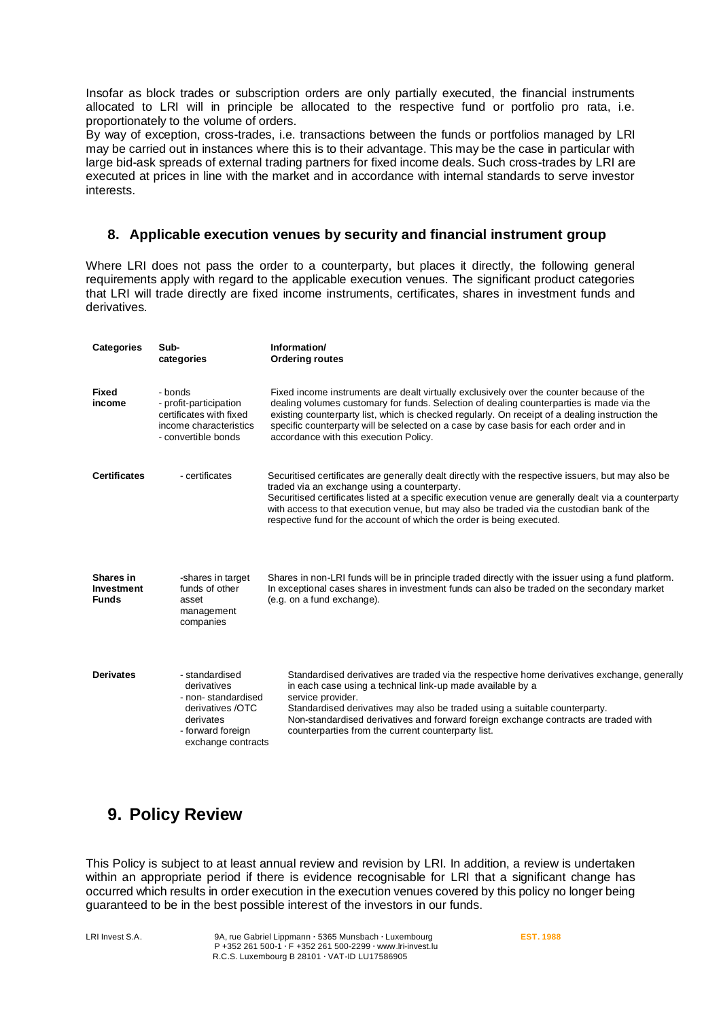Insofar as block trades or subscription orders are only partially executed, the financial instruments allocated to LRI will in principle be allocated to the respective fund or portfolio pro rata, i.e. proportionately to the volume of orders.

By way of exception, cross-trades, i.e. transactions between the funds or portfolios managed by LRI may be carried out in instances where this is to their advantage. This may be the case in particular with large bid-ask spreads of external trading partners for fixed income deals. Such cross-trades by LRI are executed at prices in line with the market and in accordance with internal standards to serve investor interests.

#### **8. Applicable execution venues by security and financial instrument group**

Where LRI does not pass the order to a counterparty, but places it directly, the following general requirements apply with regard to the applicable execution venues. The significant product categories that LRI will trade directly are fixed income instruments, certificates, shares in investment funds and derivatives.

| Categories                                     | Sub-<br>categories                                                                                                              | Information/<br><b>Ordering routes</b>                                                                                                                                                                                                                                                                                                                                                                                           |
|------------------------------------------------|---------------------------------------------------------------------------------------------------------------------------------|----------------------------------------------------------------------------------------------------------------------------------------------------------------------------------------------------------------------------------------------------------------------------------------------------------------------------------------------------------------------------------------------------------------------------------|
| <b>Fixed</b><br>income                         | - bonds<br>- profit-participation<br>certificates with fixed<br>income characteristics<br>- convertible bonds                   | Fixed income instruments are dealt virtually exclusively over the counter because of the<br>dealing volumes customary for funds. Selection of dealing counterparties is made via the<br>existing counterparty list, which is checked regularly. On receipt of a dealing instruction the<br>specific counterparty will be selected on a case by case basis for each order and in<br>accordance with this execution Policy.        |
| <b>Certificates</b>                            | - certificates                                                                                                                  | Securitised certificates are generally dealt directly with the respective issuers, but may also be<br>traded via an exchange using a counterparty.<br>Securitised certificates listed at a specific execution venue are generally dealt via a counterparty<br>with access to that execution venue, but may also be traded via the custodian bank of the<br>respective fund for the account of which the order is being executed. |
| Shares in<br><b>Investment</b><br><b>Funds</b> | -shares in target<br>funds of other<br>asset<br>management<br>companies                                                         | Shares in non-LRI funds will be in principle traded directly with the issuer using a fund platform.<br>In exceptional cases shares in investment funds can also be traded on the secondary market<br>(e.g. on a fund exchange).                                                                                                                                                                                                  |
| <b>Derivates</b>                               | - standardised<br>derivatives<br>- non-standardised<br>derivatives /OTC<br>derivates<br>- forward foreign<br>exchange contracts | Standardised derivatives are traded via the respective home derivatives exchange, generally<br>in each case using a technical link-up made available by a<br>service provider.<br>Standardised derivatives may also be traded using a suitable counterparty.<br>Non-standardised derivatives and forward foreign exchange contracts are traded with<br>counterparties from the current counterparty list.                        |

#### **9. Policy Review**

This Policy is subject to at least annual review and revision by LRI. In addition, a review is undertaken within an appropriate period if there is evidence recognisable for LRI that a significant change has occurred which results in order execution in the execution venues covered by this policy no longer being guaranteed to be in the best possible interest of the investors in our funds.

LRI Invest S.A. 9A, rue Gabriel Lippmann **∙** 5365 Munsbach **∙** Luxembourg **EST. 1988**  P +352 261 500-1 **∙** F +352 261 500-2299 **∙** www.lri-invest.lu R.C.S. Luxembourg B 28101 **∙** VAT-ID LU17586905